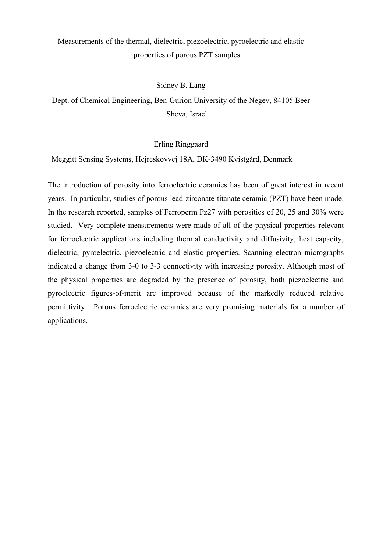# Measurements of the thermal, dielectric, piezoelectric, pyroelectric and elastic properties of porous PZT samples

## Sidney B. Lang

# Dept. of Chemical Engineering, Ben-Gurion University of the Negev, 84105 Beer Sheva, Israel

# Erling Ringgaard

Meggitt Sensing Systems, Hejreskovvej 18A, DK-3490 Kvistgård, Denmark

 The introduction of porosity into ferroelectric ceramics has been of great interest in recent years. In particular, studies of porous lead-zirconate-titanate ceramic (PZT) have been made. In the research reported, samples of Ferroperm Pz27 with porosities of 20, 25 and 30% were studied. Very complete measurements were made of all of the physical properties relevant for ferroelectric applications including thermal conductivity and diffusivity, heat capacity, dielectric, pyroelectric, piezoelectric and elastic properties. Scanning electron micrographs indicated a change from 3-0 to 3-3 connectivity with increasing porosity. Although most of the physical properties are degraded by the presence of porosity, both piezoelectric and pyroelectric figures-of-merit are improved because of the markedly reduced relative permittivity. Porous ferroelectric ceramics are very promising materials for a number of applications.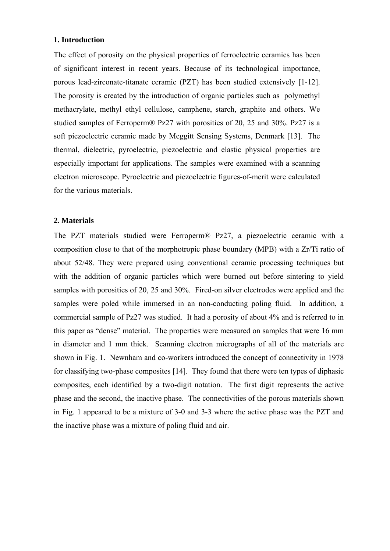## **1. Introduction**

The effect of porosity on the physical properties of ferroelectric ceramics has been of significant interest in recent years. Because of its technological importance, porous lead-zirconate-titanate ceramic (PZT) has been studied extensively [1-12]. The porosity is created by the introduction of organic particles such as polymethyl methacrylate, methyl ethyl cellulose, camphene, starch, graphite and others. We studied samples of Ferroperm® Pz27 with porosities of 20, 25 and 30%. Pz27 is a soft piezoelectric ceramic made by Meggitt Sensing Systems, Denmark [13]. The thermal, dielectric, pyroelectric, piezoelectric and elastic physical properties are especially important for applications. The samples were examined with a scanning electron microscope. Pyroelectric and piezoelectric figures-of-merit were calculated for the various materials.

## **2. Materials**

 The PZT materials studied were Ferroperm® Pz27, a piezoelectric ceramic with a composition close to that of the morphotropic phase boundary (MPB) with a Zr/Ti ratio of about 52/48. They were prepared using conventional ceramic processing techniques but with the addition of organic particles which were burned out before sintering to yield samples with porosities of 20, 25 and 30%. Fired-on silver electrodes were applied and the samples were poled while immersed in an non-conducting poling fluid. In addition, a commercial sample of Pz27 was studied. It had a porosity of about 4% and is referred to in this paper as "dense" material. The properties were measured on samples that were 16 mm in diameter and 1 mm thick. Scanning electron micrographs of all of the materials are shown in Fig. 1. Newnham and co-workers introduced the concept of connectivity in 1978 for classifying two-phase composites [14]. They found that there were ten types of diphasic composites, each identified by a two-digit notation. The first digit represents the active phase and the second, the inactive phase. The connectivities of the porous materials shown in Fig. 1 appeared to be a mixture of 3-0 and 3-3 where the active phase was the PZT and the inactive phase was a mixture of poling fluid and air.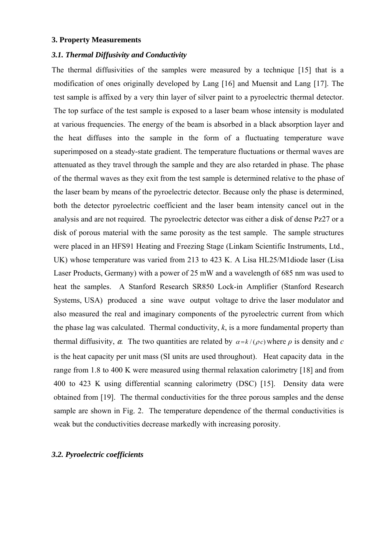#### **3. Property Measurements**

### *3.1. Thermal Diffusivity and Conductivity*

 The thermal diffusivities of the samples were measured by a technique [15] that is a modification of ones originally developed by Lang [16] and Muensit and Lang [17]. The test sample is affixed by a very thin layer of silver paint to a pyroelectric thermal detector. The top surface of the test sample is exposed to a laser beam whose intensity is modulated at various frequencies. The energy of the beam is absorbed in a black absorption layer and the heat diffuses into the sample in the form of a fluctuating temperature wave superimposed on a steady-state gradient. The temperature fluctuations or thermal waves are attenuated as they travel through the sample and they are also retarded in phase. The phase of the thermal waves as they exit from the test sample is determined relative to the phase of the laser beam by means of the pyroelectric detector. Because only the phase is determined, both the detector pyroelectric coefficient and the laser beam intensity cancel out in the analysis and are not required. The pyroelectric detector was either a disk of dense Pz27 or a disk of porous material with the same porosity as the test sample. The sample structures were placed in an HFS91 Heating and Freezing Stage (Linkam Scientific Instruments, Ltd., UK) whose temperature was varied from 213 to 423 K. A Lisa HL25/M1diode laser (Lisa Laser Products, Germany) with a power of 25 mW and a wavelength of 685 nm was used to heat the samples. A Stanford Research SR850 Lock-in Amplifier (Stanford Research Systems, USA) produced a sine wave output voltage to drive the laser modulator and also measured the real and imaginary components of the pyroelectric current from which the phase lag was calculated. Thermal conductivity, *k*, is a more fundamental property than thermal diffusivity,  $\alpha$ . The two quantities are related by  $\alpha = k / (\rho c)$  where  $\rho$  is density and *c* is the heat capacity per unit mass (SI units are used throughout). Heat capacity data in the range from 1.8 to 400 K were measured using thermal relaxation calorimetry [18] and from 400 to 423 K using differential scanning calorimetry (DSC) [15]. Density data were obtained from [19]. The thermal conductivities for the three porous samples and the dense sample are shown in Fig. 2. The temperature dependence of the thermal conductivities is weak but the conductivities decrease markedly with increasing porosity.

## *3.2. Pyroelectric coefficients*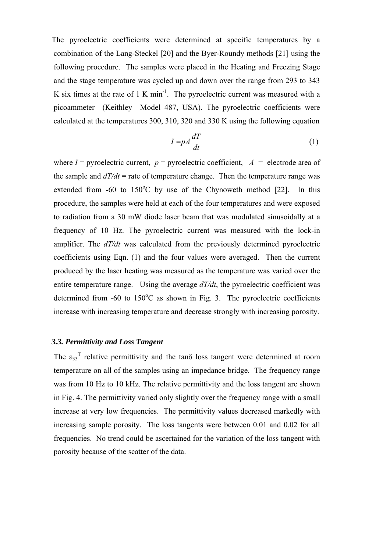The pyroelectric coefficients were determined at specific temperatures by a combination of the Lang-Steckel [20] and the Byer-Roundy methods [21] using the following procedure. The samples were placed in the Heating and Freezing Stage and the stage temperature was cycled up and down over the range from 293 to 343 K six times at the rate of  $1 \text{ K min}^{-1}$ . The pyroelectric current was measured with a picoammeter (Keithley Model 487, USA). The pyroelectric coefficients were calculated at the temperatures 300, 310, 320 and 330 K using the following equation

$$
I = pA \frac{dT}{dt} \tag{1}
$$

where  $I =$  pyroelectric current,  $p =$  pyroelectric coefficient,  $A =$  electrode area of the sample and  $dT/dt$  = rate of temperature change. Then the temperature range was extended from  $-60$  to  $150^{\circ}$ C by use of the Chynoweth method [22]. In this procedure, the samples were held at each of the four temperatures and were exposed to radiation from a 30 mW diode laser beam that was modulated sinusoidally at a frequency of 10 Hz. The pyroelectric current was measured with the lock-in amplifier. The *dT/dt* was calculated from the previously determined pyroelectric coefficients using Eqn. (1) and the four values were averaged. Then the current produced by the laser heating was measured as the temperature was varied over the entire temperature range. Using the average  $d/dt$ , the pyroelectric coefficient was determined from  $-60$  to  $150^{\circ}$ C as shown in Fig. 3. The pyroelectric coefficients increase with increasing temperature and decrease strongly with increasing porosity.

# *3.3. Permittivity and Loss Tangent*

The  $\varepsilon_{33}$ <sup>T</sup> relative permittivity and the tan $\delta$  loss tangent were determined at room temperature on all of the samples using an impedance bridge. The frequency range was from 10 Hz to 10 kHz. The relative permittivity and the loss tangent are shown in Fig. 4. The permittivity varied only slightly over the frequency range with a small increase at very low frequencies. The permittivity values decreased markedly with increasing sample porosity. The loss tangents were between 0.01 and 0.02 for all frequencies. No trend could be ascertained for the variation of the loss tangent with porosity because of the scatter of the data.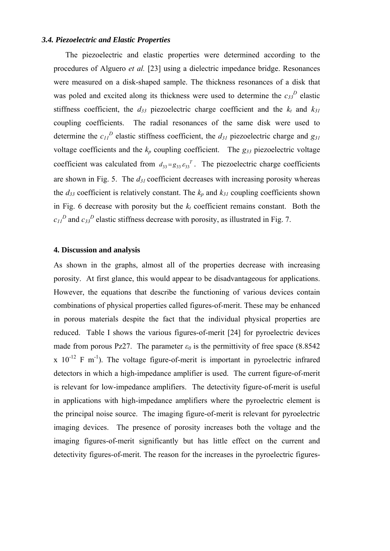#### *3.4. Piezoelectric and Elastic Properties*

The piezoelectric and elastic properties were determined according to the procedures of Alguero *et al.* [23] using a dielectric impedance bridge. Resonances were measured on a disk-shaped sample. The thickness resonances of a disk that was poled and excited along its thickness were used to determine the  $c_{33}^D$  elastic stiffness coefficient, the  $d_{33}$  piezoelectric charge coefficient and the  $k_t$  and  $k_{31}$ coupling coefficients. The radial resonances of the same disk were used to determine the  $c_{II}^D$  elastic stiffness coefficient, the  $d_{3I}$  piezoelectric charge and  $g_{3I}$ voltage coefficients and the  $k_p$  coupling coefficient. The  $g_{33}$  piezoelectric voltage coefficient was calculated from  $d_{33} = g_{33} g_{33}^T$ . The piezoelectric charge coefficients are shown in Fig. 5. The  $d_{31}$  coefficient decreases with increasing porosity whereas the  $d_{33}$  coefficient is relatively constant. The  $k_p$  and  $k_{31}$  coupling coefficients shown in Fig. 6 decrease with porosity but the  $k_t$  coefficient remains constant. Both the  $c_{11}^{D}$  and  $c_{33}^{D}$  elastic stiffness decrease with porosity, as illustrated in Fig. 7.

### **4. Discussion and analysis**

 As shown in the graphs, almost all of the properties decrease with increasing porosity. At first glance, this would appear to be disadvantageous for applications. However, the equations that describe the functioning of various devices contain combinations of physical properties called figures-of-merit. These may be enhanced in porous materials despite the fact that the individual physical properties are reduced. Table I shows the various figures-of-merit [24] for pyroelectric devices made from porous Pz27. The parameter  $\varepsilon_\theta$  is the permittivity of free space (8.8542)  $x$  10<sup>-12</sup> F m<sup>-1</sup>). The voltage figure-of-merit is important in pyroelectric infrared detectors in which a high-impedance amplifier is used. The current figure-of-merit is relevant for low-impedance amplifiers. The detectivity figure-of-merit is useful in applications with high-impedance amplifiers where the pyroelectric element is the principal noise source. The imaging figure-of-merit is relevant for pyroelectric imaging devices. The presence of porosity increases both the voltage and the imaging figures-of-merit significantly but has little effect on the current and detectivity figures-of-merit. The reason for the increases in the pyroelectric figures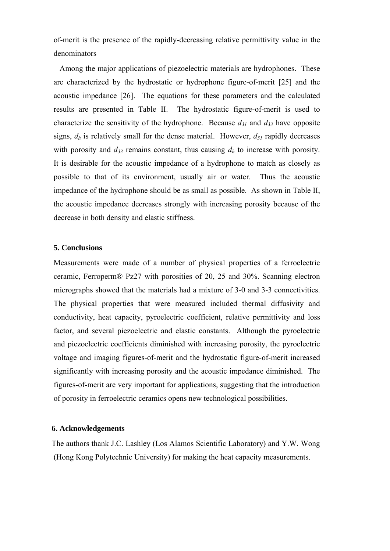of-merit is the presence of the rapidly-decreasing relative permittivity value in the denominators

 Among the major applications of piezoelectric materials are hydrophones. These are characterized by the hydrostatic or hydrophone figure-of-merit [25] and the acoustic impedance [26]. The equations for these parameters and the calculated results are presented in Table II. The hydrostatic figure-of-merit is used to characterize the sensitivity of the hydrophone. Because  $d_{31}$  and  $d_{33}$  have opposite signs,  $d_h$  is relatively small for the dense material. However,  $d_{31}$  rapidly decreases with porosity and  $d_{33}$  remains constant, thus causing  $d_h$  to increase with porosity. It is desirable for the acoustic impedance of a hydrophone to match as closely as possible to that of its environment, usually air or water. Thus the acoustic impedance of the hydrophone should be as small as possible. As shown in Table II, the acoustic impedance decreases strongly with increasing porosity because of the decrease in both density and elastic stiffness.

### **5. Conclusions**

Measurements were made of a number of physical properties of a ferroelectric ceramic, Ferroperm® Pz27 with porosities of 20, 25 and 30%. Scanning electron micrographs showed that the materials had a mixture of 3-0 and 3-3 connectivities. The physical properties that were measured included thermal diffusivity and conductivity, heat capacity, pyroelectric coefficient, relative permittivity and loss factor, and several piezoelectric and elastic constants. Although the pyroelectric and piezoelectric coefficients diminished with increasing porosity, the pyroelectric voltage and imaging figures-of-merit and the hydrostatic figure-of-merit increased significantly with increasing porosity and the acoustic impedance diminished.The figures-of-merit are very important for applications, suggesting that the introduction of porosity in ferroelectric ceramics opens new technological possibilities.

# **6. Acknowledgements**

The authors thank J.C. Lashley (Los Alamos Scientific Laboratory) and Y.W. Wong (Hong Kong Polytechnic University) for making the heat capacity measurements.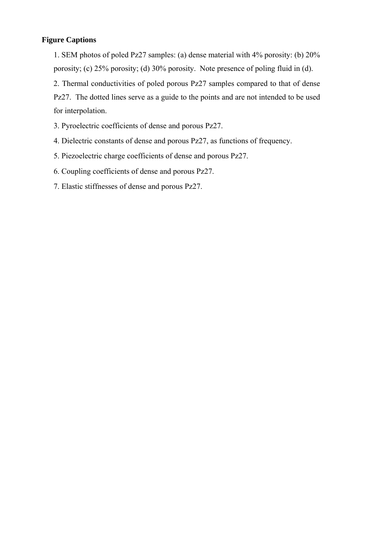# **Figure Captions**

 1. SEM photos of poled Pz27 samples: (a) dense material with 4% porosity: (b) 20% porosity; (c) 25% porosity; (d) 30% porosity. Note presence of poling fluid in (d).

 2. Thermal conductivities of poled porous Pz27 samples compared to that of dense Pz27. The dotted lines serve as a guide to the points and are not intended to be used for interpolation.

3. Pyroelectric coefficients of dense and porous Pz27.

- 4. Dielectric constants of dense and porous Pz27, as functions of frequency.
- 5. Piezoelectric charge coefficients of dense and porous Pz27.
- 6. Coupling coefficients of dense and porous Pz27.
- 7. Elastic stiffnesses of dense and porous Pz27.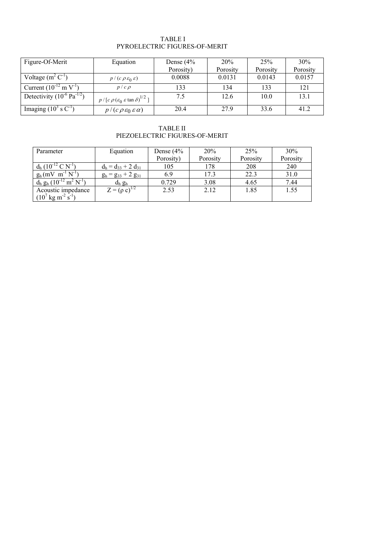#### TABLE I PYROELECTRIC FIGURES-OF-MERIT

| Figure-Of-Merit                           | Equation                                                     | Dense $(4%$ | 20%      | 25%      | 30%      |
|-------------------------------------------|--------------------------------------------------------------|-------------|----------|----------|----------|
|                                           |                                                              | Porosity)   | Porosity | Porosity | Porosity |
| Voltage $(m^2 C^{-1})$                    | $p/(c \rho \varepsilon_0 \varepsilon)$                       | 0.0088      | 0.0131   | 0.0143   | 0.0157   |
| Current $(10^{-12} \text{ mV}^{-1})$      | $p/c \rho$                                                   | 133         | 134      | 133      | 121      |
| Detectivity $(10^{-6} \text{ Pa}^{-1/2})$ | $p / [c \rho (\varepsilon_0 \varepsilon \tan \delta)^{1/2}]$ | 7.5         | 12.6     | 10.0     | 13.1     |
| Imaging $(10^3 \text{ s C}^{-1})$         | $p/(c \rho \varepsilon_0 \varepsilon \alpha)$                | 20.4        | 27.9     | 33.6     | 41.2     |

TABLE II PIEZOELECTRIC FIGURES-OF-MERIT

| Parameter                                       | Equation                  | Dense $(4%$ | 20%      | 25%      | 30%      |
|-------------------------------------------------|---------------------------|-------------|----------|----------|----------|
|                                                 |                           | Porosity)   | Porosity | Porosity | Porosity |
| $d_h (10^{-12} C \overline{N}^1)$               | $d_h = d_{33} + 2 d_{31}$ | 105         | 178      | 208      | 240      |
| $g_h(mV \ m^{-1} N^{-1})$                       | $g_h = g_{33} + 2 g_{31}$ | 6.9         | 17.3     | 22.3     | 31.0     |
| $d_h g_h (10^{-12} \text{ m}^2 \text{ N}^{-1})$ | $d_h g_h$                 | 0.729       | 3.08     | 4.65     | 7.44     |
| Acoustic impedance                              | $Z = (\rho c)^{1/2}$      | 2.53        | 2.12     | 1.85     | 1.55     |
| $(10^{7} \text{ kg m}^{2} \text{ s}^{1})$       |                           |             |          |          |          |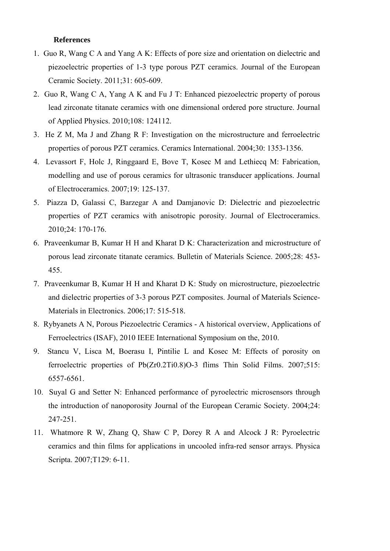### **References**

- 1. Guo R, Wang C A and Yang A K: Effects of pore size and orientation on dielectric and piezoelectric properties of 1-3 type porous PZT ceramics. Journal of the European Ceramic Society. 2011;31: 605-609.
- 2. Guo R, Wang C A, Yang A K and Fu J T: Enhanced piezoelectric property of porous lead zirconate titanate ceramics with one dimensional ordered pore structure. Journal of Applied Physics. 2010;108: 124112.
- 3. He Z M, Ma J and Zhang R F: Investigation on the microstructure and ferroelectric properties of porous PZT ceramics. Ceramics International. 2004;30: 1353-1356.
- 4. Levassort F, Holc J, Ringgaard E, Bove T, Kosec M and Lethiecq M: Fabrication, modelling and use of porous ceramics for ultrasonic transducer applications. Journal of Electroceramics. 2007;19: 125-137.
- 5. Piazza D, Galassi C, Barzegar A and Damjanovic D: Dielectric and piezoelectric properties of PZT ceramics with anisotropic porosity. Journal of Electroceramics. 2010;24: 170-176.
- 6. Praveenkumar B, Kumar H H and Kharat D K: Characterization and microstructure of porous lead zirconate titanate ceramics. Bulletin of Materials Science. 2005;28: 453- 455.
- 7. Praveenkumar B, Kumar H H and Kharat D K: Study on microstructure, piezoelectric and dielectric properties of 3-3 porous PZT composites. Journal of Materials Science-Materials in Electronics. 2006;17: 515-518.
- 8. Rybyanets A N, Porous Piezoelectric Ceramics A historical overview, Applications of Ferroelectrics (ISAF), 2010 IEEE International Symposium on the, 2010.
- 9. Stancu V, Lisca M, Boerasu I, Pintilie L and Kosec M: Effects of porosity on ferroelectric properties of Pb(Zr0.2Ti0.8)O-3 flims Thin Solid Films. 2007;515: 6557-6561.
- 10. Suyal G and Setter N: Enhanced performance of pyroelectric microsensors through the introduction of nanoporosity Journal of the European Ceramic Society. 2004;24: 247-251.
- 11. Whatmore R W, Zhang Q, Shaw C P, Dorey R A and Alcock J R: Pyroelectric ceramics and thin films for applications in uncooled infra-red sensor arrays. Physica Scripta. 2007;T129: 6-11.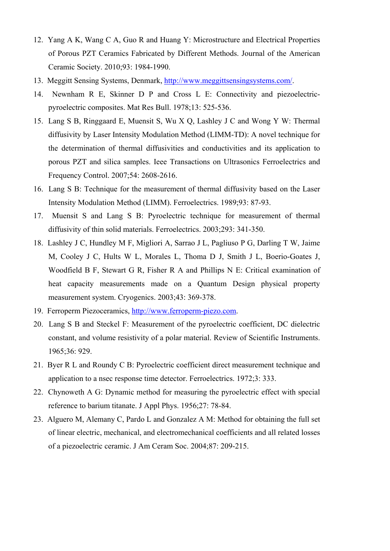- 12. Yang A K, Wang C A, Guo R and Huang Y: Microstructure and Electrical Properties of Porous PZT Ceramics Fabricated by Different Methods. Journal of the American Ceramic Society. 2010;93: 1984-1990.
- 13. Meggitt Sensing Systems, Denmark, [http://www.meggittsensingsystems.com/.](http://www.meggittsensingsystems.com/)
- 14. Newnham R E, Skinner D P and Cross L E: Connectivity and piezoelectricpyroelectric composites. Mat Res Bull. 1978;13: 525-536.
- 15. Lang S B, Ringgaard E, Muensit S, Wu X Q, Lashley J C and Wong Y W: Thermal diffusivity by Laser Intensity Modulation Method (LIMM-TD): A novel technique for the determination of thermal diffusivities and conductivities and its application to porous PZT and silica samples. Ieee Transactions on Ultrasonics Ferroelectrics and Frequency Control. 2007;54: 2608-2616.
- 16. Lang S B: Technique for the measurement of thermal diffusivity based on the Laser Intensity Modulation Method (LIMM). Ferroelectrics. 1989;93: 87-93.
- 17. Muensit S and Lang S B: Pyroelectric technique for measurement of thermal diffusivity of thin solid materials. Ferroelectrics. 2003;293: 341-350.
- 18. Lashley J C, Hundley M F, Migliori A, Sarrao J L, Pagliuso P G, Darling T W, Jaime M, Cooley J C, Hults W L, Morales L, Thoma D J, Smith J L, Boerio-Goates J, Woodfield B F, Stewart G R, Fisher R A and Phillips N E: Critical examination of heat capacity measurements made on a Quantum Design physical property measurement system. Cryogenics. 2003;43: 369-378.
- 19. Ferroperm Piezoceramics, [http://www.ferroperm-piezo.com](http://www.ferroperm-piezo.com/).
- 20. Lang S B and Steckel F: Measurement of the pyroelectric coefficient, DC dielectric constant, and volume resistivity of a polar material. Review of Scientific Instruments. 1965;36: 929.
- 21. Byer R L and Roundy C B: Pyroelectric coefficient direct measurement technique and application to a nsec response time detector. Ferroelectrics. 1972;3: 333.
- 22. Chynoweth A G: Dynamic method for measuring the pyroelectric effect with special reference to barium titanate. J Appl Phys. 1956;27: 78-84.
- 23. Alguero M, Alemany C, Pardo L and Gonzalez A M: Method for obtaining the full set of linear electric, mechanical, and electromechanical coefficients and all related losses of a piezoelectric ceramic. J Am Ceram Soc. 2004;87: 209-215.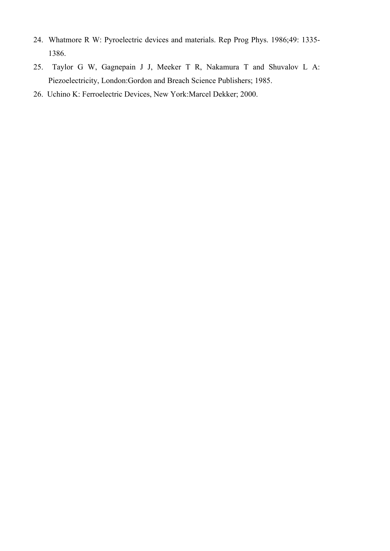- 24. Whatmore R W: Pyroelectric devices and materials. Rep Prog Phys. 1986;49: 1335- 1386.
- 25. Taylor G W, Gagnepain J J, Meeker T R, Nakamura T and Shuvalov L A: Piezoelectricity, London:Gordon and Breach Science Publishers; 1985.
- 26. Uchino K: Ferroelectric Devices, New York:Marcel Dekker; 2000.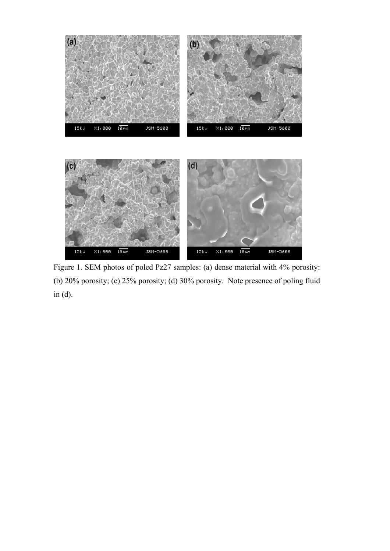

 Figure 1. SEM photos of poled Pz27 samples: (a) dense material with 4% porosity: (b) 20% porosity; (c) 25% porosity; (d) 30% porosity. Note presence of poling fluid in (d).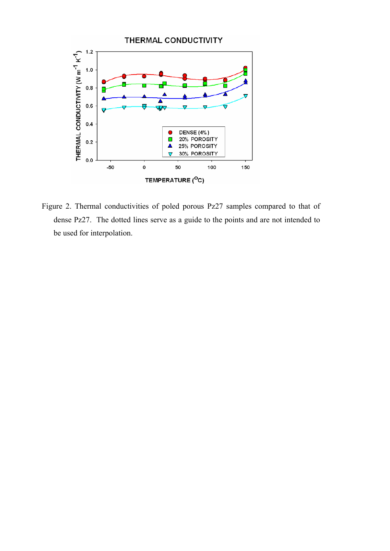

Figure 2. Thermal conductivities of poled porous Pz27 samples compared to that of dense Pz27. The dotted lines serve as a guide to the points and are not intended to be used for interpolation.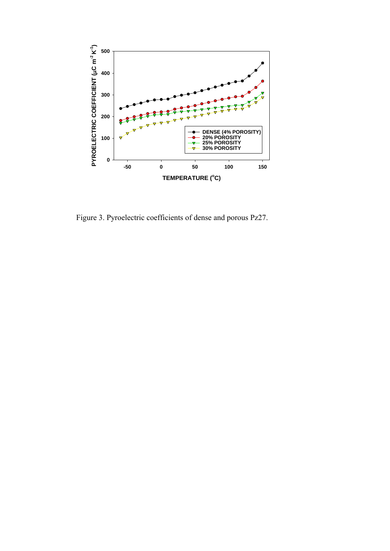

Figure 3. Pyroelectric coefficients of dense and porous Pz27.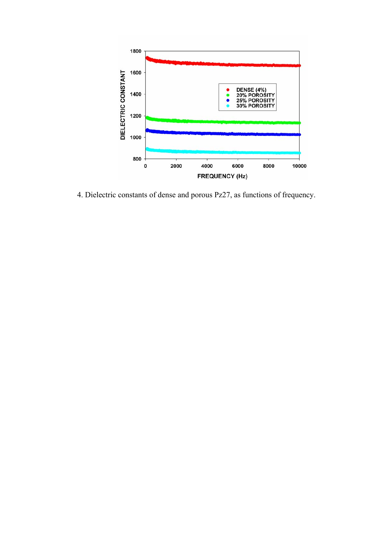

4. Dielectric constants of dense and porous Pz27, as functions of frequency.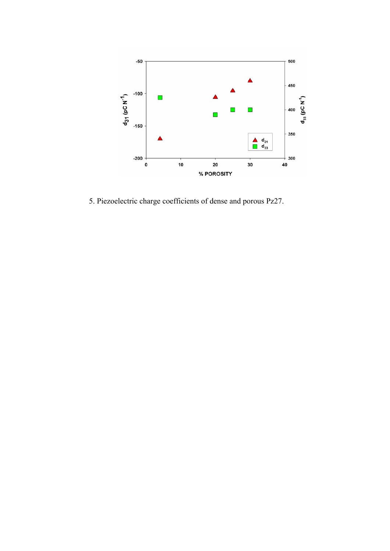

5. Piezoelectric charge coefficients of dense and porous Pz27.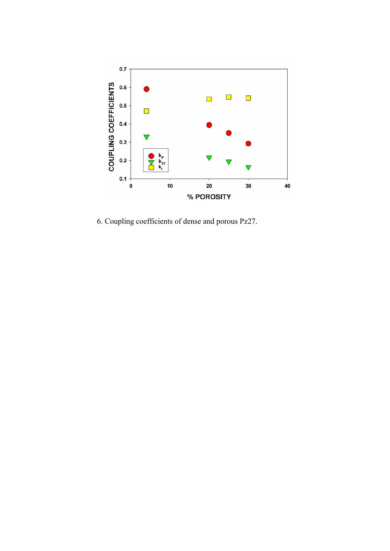

6. Coupling coefficients of dense and porous Pz27.